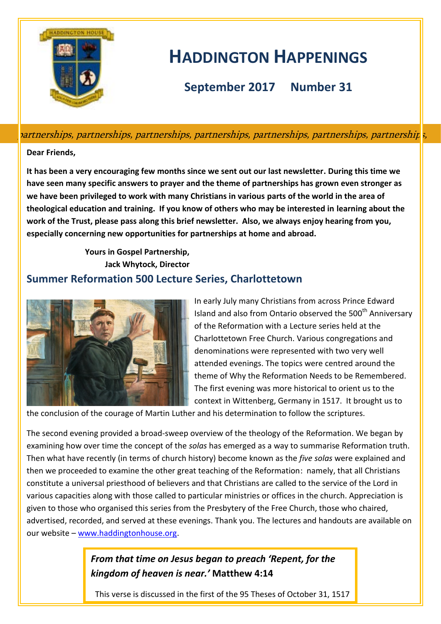

# **HADDINGTON HAPPENINGS**

**September 2017 Number 31**

partnerships, partnerships, partnerships, partnerships, partnerships, partnerships, partnerships,

### **Dear Friends,**

**It has been a very encouraging few months since we sent out our last newsletter. During this time we have seen many specific answers to prayer and the theme of partnerships has grown even stronger as we have been privileged to work with many Christians in various parts of the world in the area of theological education and training. If you know of others who may be interested in learning about the work of the Trust, please pass along this brief newsletter. Also, we always enjoy hearing from you, especially concerning new opportunities for partnerships at home and abroad.**

> **Yours in Gospel Partnership, Jack Whytock, Director**

### **Summer Reformation 500 Lecture Series, Charlottetown**



In early July many Christians from across Prince Edward Island and also from Ontario observed the 500<sup>th</sup> Anniversary of the Reformation with a Lecture series held at the Charlottetown Free Church. Various congregations and denominations were represented with two very well attended evenings. The topics were centred around the theme of Why the Reformation Needs to be Remembered. The first evening was more historical to orient us to the context in Wittenberg, Germany in 1517. It brought us to

the conclusion of the courage of Martin Luther and his determination to follow the scriptures.

The second evening provided a broad-sweep overview of the theology of the Reformation. We began by examining how over time the concept of the *solas* has emerged as a way to summarise Reformation truth. Then what have recently (in terms of church history) become known as the *five solas* were explained and then we proceeded to examine the other great teaching of the Reformation: namely, that all Christians constitute a universal priesthood of believers and that Christians are called to the service of the Lord in various capacities along with those called to particular ministries or offices in the church. Appreciation is given to those who organised this series from the Presbytery of the Free Church, those who chaired, advertised, recorded, and served at these evenings. Thank you. The lectures and handouts are available on our website – [www.haddingtonhouse.org.](http://www.haddingtonhouse.org/)

# *From that time on Jesus began to preach 'Repent, for the kingdom of heaven is near.'* **Matthew 4:14**

This verse is discussed in the first of the 95 Theses of October 31, 1517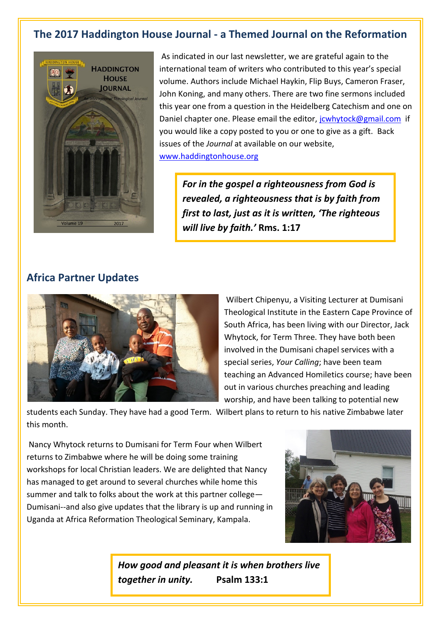# **The 2017 Haddington House Journal - a Themed Journal on the Reformation**



As indicated in our last newsletter, we are grateful again to the international team of writers who contributed to this year's special volume. Authors include Michael Haykin, Flip Buys, Cameron Fraser, John Koning, and many others. There are two fine sermons included this year one from a question in the Heidelberg Catechism and one on Daniel chapter one. Please email the editor, journal compail.com if you would like a copy posted to you or one to give as a gift. Back issues of the *Journal* at available on our website, [www.haddingtonhouse.org](http://www.haddingtonhouse.org/)

*For in the gospel a righteousness from God is revealed, a righteousness that is by faith from first to last, just as it is written, 'The righteous will live by faith.'* **Rms. 1:17**

### **Africa Partner Updates**



Wilbert Chipenyu, a Visiting Lecturer at Dumisani Theological Institute in the Eastern Cape Province of South Africa, has been living with our Director, Jack Whytock, for Term Three. They have both been involved in the Dumisani chapel services with a special series, *Your Calling*; have been team teaching an Advanced Homiletics course; have been out in various churches preaching and leading worship, and have been talking to potential new

students each Sunday. They have had a good Term. Wilbert plans to return to his native Zimbabwe later this month.

Nancy Whytock returns to Dumisani for Term Four when Wilbert returns to Zimbabwe where he will be doing some training workshops for local Christian leaders. We are delighted that Nancy has managed to get around to several churches while home this summer and talk to folks about the work at this partner college— Dumisani--and also give updates that the library is up and running in Uganda at Africa Reformation Theological Seminary, Kampala.



*How good and pleasant it is when brothers live together in unity.* **Psalm 133:1**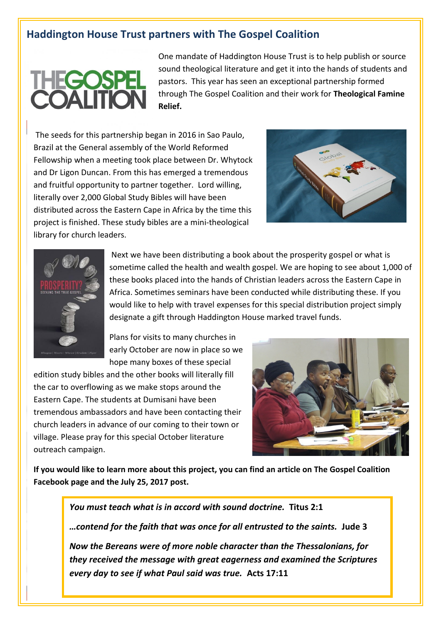### **Haddington House Trust partners with The Gospel Coalition**

# **THEGOSPE<br>COALITION**

One mandate of Haddington House Trust is to help publish or source sound theological literature and get it into the hands of students and pastors. This year has seen an exceptional partnership formed through The Gospel Coalition and their work for **Theological Famine Relief.** 

The seeds for this partnership began in 2016 in Sao Paulo, Brazil at the General assembly of the World Reformed Fellowship when a meeting took place between Dr. Whytock and Dr Ligon Duncan. From this has emerged a tremendous and fruitful opportunity to partner together. Lord willing, literally over 2,000 Global Study Bibles will have been distributed across the Eastern Cape in Africa by the time this project is finished. These study bibles are a mini-theological library for church leaders.





Next we have been distributing a book about the prosperity gospel or what is sometime called the health and wealth gospel. We are hoping to see about 1,000 of these books placed into the hands of Christian leaders across the Eastern Cape in Africa. Sometimes seminars have been conducted while distributing these. If you would like to help with travel expenses for this special distribution project simply designate a gift through Haddington House marked travel funds.

Plans for visits to many churches in early October are now in place so we hope many boxes of these special

edition study bibles and the other books will literally fill the car to overflowing as we make stops around the Eastern Cape. The students at Dumisani have been tremendous ambassadors and have been contacting their church leaders in advance of our coming to their town or village. Please pray for this special October literature outreach campaign.



**If you would like to learn more about this project, you can find an article on The Gospel Coalition Facebook page and the July 25, 2017 post.** 

*You must teach what is in accord with sound doctrine.* **Titus 2:1** *…contend for the faith that was once for all entrusted to the saints.* **Jude 3**

*Now the Bereans were of more noble character than the Thessalonians, for they received the message with great eagerness and examined the Scriptures every day to see if what Paul said was true.* **Acts 17:11**